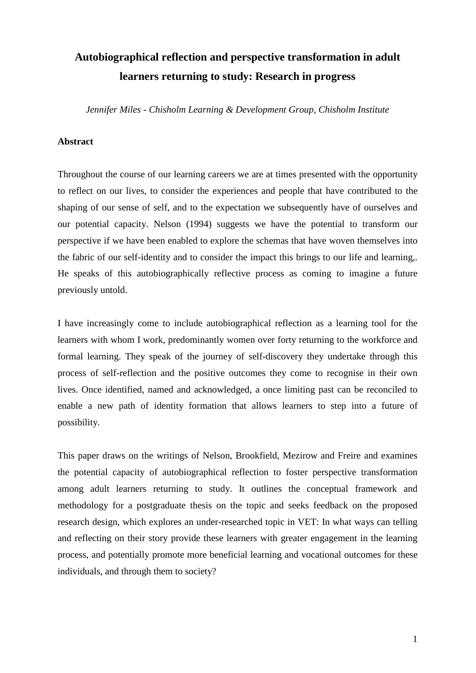# **Autobiographical reflection and perspective transformation in adult learners returning to study: Research in progress**

*Jennifer Miles - Chisholm Learning & Development Group, Chisholm Institute* 

## **Abstract**

Throughout the course of our learning careers we are at times presented with the opportunity to reflect on our lives, to consider the experiences and people that have contributed to the shaping of our sense of self, and to the expectation we subsequently have of ourselves and our potential capacity. Nelson (1994) suggests we have the potential to transform our perspective if we have been enabled to explore the schemas that have woven themselves into the fabric of our self-identity and to consider the impact this brings to our life and learning,. He speaks of this autobiographically reflective process as coming to imagine a future previously untold.

I have increasingly come to include autobiographical reflection as a learning tool for the learners with whom I work, predominantly women over forty returning to the workforce and formal learning. They speak of the journey of self-discovery they undertake through this process of self-reflection and the positive outcomes they come to recognise in their own lives. Once identified, named and acknowledged, a once limiting past can be reconciled to enable a new path of identity formation that allows learners to step into a future of possibility.

This paper draws on the writings of Nelson, Brookfield, Mezirow and Freire and examines the potential capacity of autobiographical reflection to foster perspective transformation among adult learners returning to study. It outlines the conceptual framework and methodology for a postgraduate thesis on the topic and seeks feedback on the proposed research design, which explores an under-researched topic in VET: In what ways can telling and reflecting on their story provide these learners with greater engagement in the learning process, and potentially promote more beneficial learning and vocational outcomes for these individuals, and through them to society?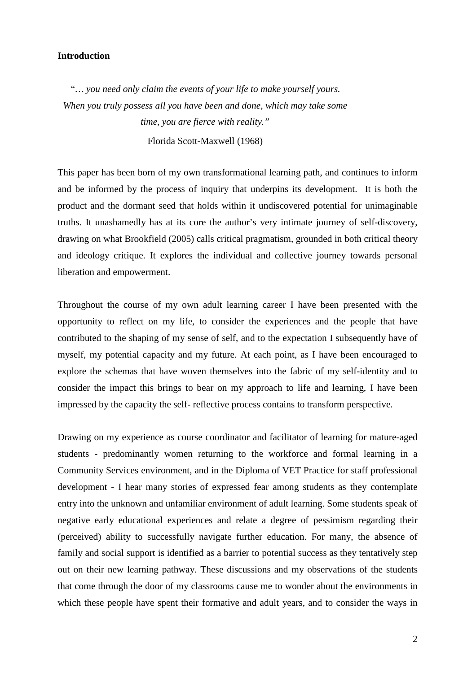## **Introduction**

*"… you need only claim the events of your life to make yourself yours. When you truly possess all you have been and done, which may take some time, you are fierce with reality."*  Florida Scott-Maxwell (1968)

This paper has been born of my own transformational learning path, and continues to inform and be informed by the process of inquiry that underpins its development. It is both the product and the dormant seed that holds within it undiscovered potential for unimaginable truths. It unashamedly has at its core the author's very intimate journey of self-discovery, drawing on what Brookfield (2005) calls critical pragmatism, grounded in both critical theory and ideology critique. It explores the individual and collective journey towards personal liberation and empowerment.

Throughout the course of my own adult learning career I have been presented with the opportunity to reflect on my life, to consider the experiences and the people that have contributed to the shaping of my sense of self, and to the expectation I subsequently have of myself, my potential capacity and my future. At each point, as I have been encouraged to explore the schemas that have woven themselves into the fabric of my self-identity and to consider the impact this brings to bear on my approach to life and learning, I have been impressed by the capacity the self- reflective process contains to transform perspective.

Drawing on my experience as course coordinator and facilitator of learning for mature-aged students - predominantly women returning to the workforce and formal learning in a Community Services environment, and in the Diploma of VET Practice for staff professional development - I hear many stories of expressed fear among students as they contemplate entry into the unknown and unfamiliar environment of adult learning. Some students speak of negative early educational experiences and relate a degree of pessimism regarding their (perceived) ability to successfully navigate further education. For many, the absence of family and social support is identified as a barrier to potential success as they tentatively step out on their new learning pathway. These discussions and my observations of the students that come through the door of my classrooms cause me to wonder about the environments in which these people have spent their formative and adult years, and to consider the ways in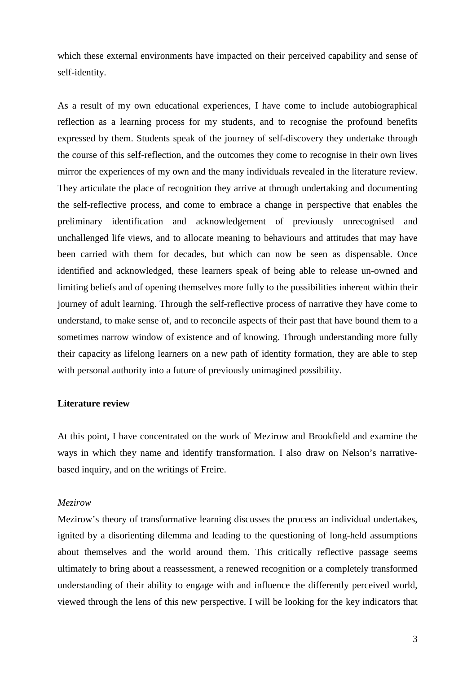which these external environments have impacted on their perceived capability and sense of self-identity.

As a result of my own educational experiences, I have come to include autobiographical reflection as a learning process for my students, and to recognise the profound benefits expressed by them. Students speak of the journey of self-discovery they undertake through the course of this self-reflection, and the outcomes they come to recognise in their own lives mirror the experiences of my own and the many individuals revealed in the literature review. They articulate the place of recognition they arrive at through undertaking and documenting the self-reflective process, and come to embrace a change in perspective that enables the preliminary identification and acknowledgement of previously unrecognised and unchallenged life views, and to allocate meaning to behaviours and attitudes that may have been carried with them for decades, but which can now be seen as dispensable. Once identified and acknowledged, these learners speak of being able to release un-owned and limiting beliefs and of opening themselves more fully to the possibilities inherent within their journey of adult learning. Through the self-reflective process of narrative they have come to understand, to make sense of, and to reconcile aspects of their past that have bound them to a sometimes narrow window of existence and of knowing. Through understanding more fully their capacity as lifelong learners on a new path of identity formation, they are able to step with personal authority into a future of previously unimagined possibility.

#### **Literature review**

At this point, I have concentrated on the work of Mezirow and Brookfield and examine the ways in which they name and identify transformation. I also draw on Nelson's narrativebased inquiry, and on the writings of Freire.

#### *Mezirow*

Mezirow's theory of transformative learning discusses the process an individual undertakes, ignited by a disorienting dilemma and leading to the questioning of long-held assumptions about themselves and the world around them. This critically reflective passage seems ultimately to bring about a reassessment, a renewed recognition or a completely transformed understanding of their ability to engage with and influence the differently perceived world, viewed through the lens of this new perspective. I will be looking for the key indicators that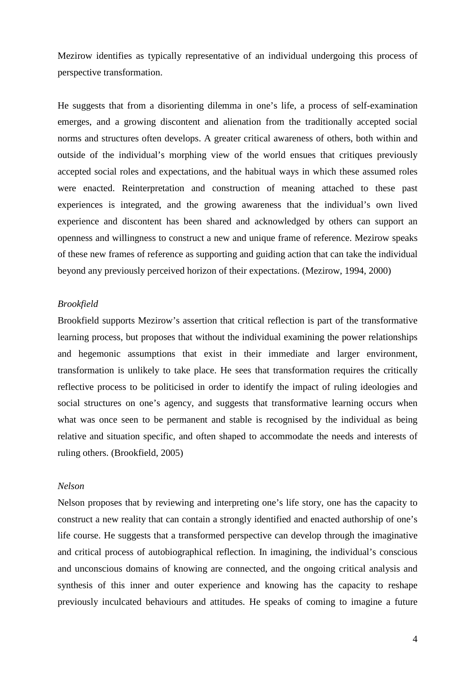Mezirow identifies as typically representative of an individual undergoing this process of perspective transformation.

He suggests that from a disorienting dilemma in one's life, a process of self-examination emerges, and a growing discontent and alienation from the traditionally accepted social norms and structures often develops. A greater critical awareness of others, both within and outside of the individual's morphing view of the world ensues that critiques previously accepted social roles and expectations, and the habitual ways in which these assumed roles were enacted. Reinterpretation and construction of meaning attached to these past experiences is integrated, and the growing awareness that the individual's own lived experience and discontent has been shared and acknowledged by others can support an openness and willingness to construct a new and unique frame of reference. Mezirow speaks of these new frames of reference as supporting and guiding action that can take the individual beyond any previously perceived horizon of their expectations. (Mezirow, 1994, 2000)

#### *Brookfield*

Brookfield supports Mezirow's assertion that critical reflection is part of the transformative learning process, but proposes that without the individual examining the power relationships and hegemonic assumptions that exist in their immediate and larger environment, transformation is unlikely to take place. He sees that transformation requires the critically reflective process to be politicised in order to identify the impact of ruling ideologies and social structures on one's agency, and suggests that transformative learning occurs when what was once seen to be permanent and stable is recognised by the individual as being relative and situation specific, and often shaped to accommodate the needs and interests of ruling others. (Brookfield, 2005)

## *Nelson*

Nelson proposes that by reviewing and interpreting one's life story, one has the capacity to construct a new reality that can contain a strongly identified and enacted authorship of one's life course. He suggests that a transformed perspective can develop through the imaginative and critical process of autobiographical reflection. In imagining, the individual's conscious and unconscious domains of knowing are connected, and the ongoing critical analysis and synthesis of this inner and outer experience and knowing has the capacity to reshape previously inculcated behaviours and attitudes. He speaks of coming to imagine a future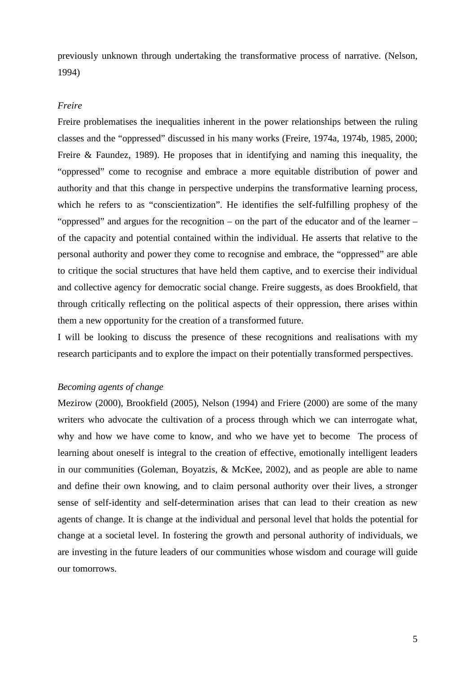previously unknown through undertaking the transformative process of narrative. (Nelson, 1994)

#### *Freire*

Freire problematises the inequalities inherent in the power relationships between the ruling classes and the "oppressed" discussed in his many works (Freire, 1974a, 1974b, 1985, 2000; Freire & Faundez, 1989). He proposes that in identifying and naming this inequality, the "oppressed" come to recognise and embrace a more equitable distribution of power and authority and that this change in perspective underpins the transformative learning process, which he refers to as "conscientization". He identifies the self-fulfilling prophesy of the "oppressed" and argues for the recognition – on the part of the educator and of the learner – of the capacity and potential contained within the individual. He asserts that relative to the personal authority and power they come to recognise and embrace, the "oppressed" are able to critique the social structures that have held them captive, and to exercise their individual and collective agency for democratic social change. Freire suggests, as does Brookfield, that through critically reflecting on the political aspects of their oppression, there arises within them a new opportunity for the creation of a transformed future.

I will be looking to discuss the presence of these recognitions and realisations with my research participants and to explore the impact on their potentially transformed perspectives.

#### *Becoming agents of change*

Mezirow (2000), Brookfield (2005), Nelson (1994) and Friere (2000) are some of the many writers who advocate the cultivation of a process through which we can interrogate what, why and how we have come to know, and who we have yet to become The process of learning about oneself is integral to the creation of effective, emotionally intelligent leaders in our communities (Goleman, Boyatzis, & McKee, 2002), and as people are able to name and define their own knowing, and to claim personal authority over their lives, a stronger sense of self-identity and self-determination arises that can lead to their creation as new agents of change. It is change at the individual and personal level that holds the potential for change at a societal level. In fostering the growth and personal authority of individuals, we are investing in the future leaders of our communities whose wisdom and courage will guide our tomorrows.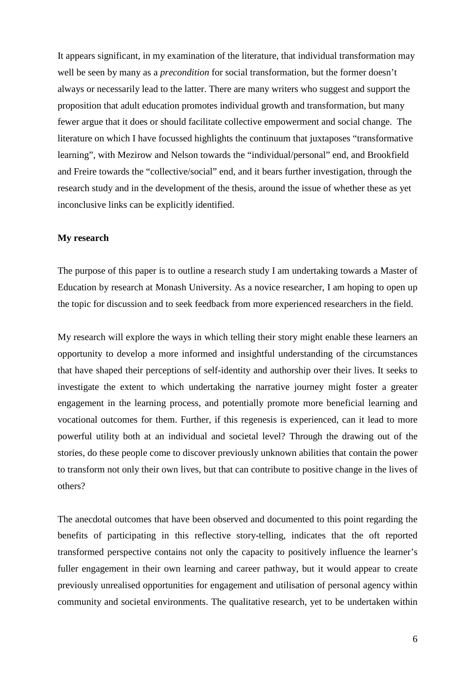It appears significant, in my examination of the literature, that individual transformation may well be seen by many as a *precondition* for social transformation, but the former doesn't always or necessarily lead to the latter. There are many writers who suggest and support the proposition that adult education promotes individual growth and transformation, but many fewer argue that it does or should facilitate collective empowerment and social change. The literature on which I have focussed highlights the continuum that juxtaposes "transformative learning", with Mezirow and Nelson towards the "individual/personal" end, and Brookfield and Freire towards the "collective/social" end, and it bears further investigation, through the research study and in the development of the thesis, around the issue of whether these as yet inconclusive links can be explicitly identified.

### **My research**

The purpose of this paper is to outline a research study I am undertaking towards a Master of Education by research at Monash University. As a novice researcher, I am hoping to open up the topic for discussion and to seek feedback from more experienced researchers in the field.

My research will explore the ways in which telling their story might enable these learners an opportunity to develop a more informed and insightful understanding of the circumstances that have shaped their perceptions of self-identity and authorship over their lives. It seeks to investigate the extent to which undertaking the narrative journey might foster a greater engagement in the learning process, and potentially promote more beneficial learning and vocational outcomes for them. Further, if this regenesis is experienced, can it lead to more powerful utility both at an individual and societal level? Through the drawing out of the stories, do these people come to discover previously unknown abilities that contain the power to transform not only their own lives, but that can contribute to positive change in the lives of others?

The anecdotal outcomes that have been observed and documented to this point regarding the benefits of participating in this reflective story-telling, indicates that the oft reported transformed perspective contains not only the capacity to positively influence the learner's fuller engagement in their own learning and career pathway, but it would appear to create previously unrealised opportunities for engagement and utilisation of personal agency within community and societal environments. The qualitative research, yet to be undertaken within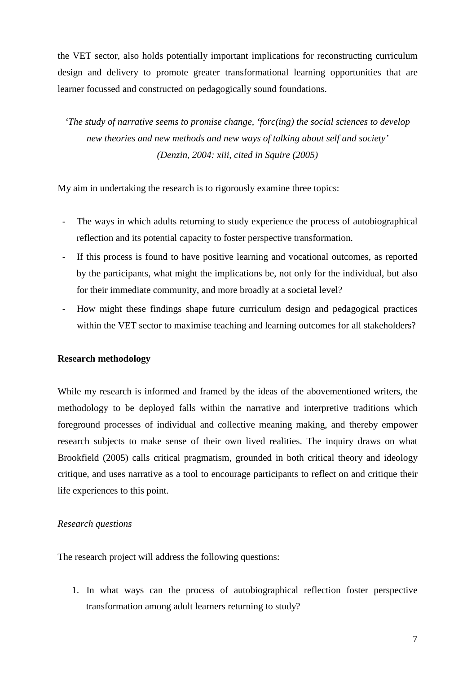the VET sector, also holds potentially important implications for reconstructing curriculum design and delivery to promote greater transformational learning opportunities that are learner focussed and constructed on pedagogically sound foundations.

*'The study of narrative seems to promise change, 'forc(ing) the social sciences to develop new theories and new methods and new ways of talking about self and society' (Denzin, 2004: xiii, cited in Squire (2005)* 

My aim in undertaking the research is to rigorously examine three topics:

- The ways in which adults returning to study experience the process of autobiographical reflection and its potential capacity to foster perspective transformation.
- If this process is found to have positive learning and vocational outcomes, as reported by the participants, what might the implications be, not only for the individual, but also for their immediate community, and more broadly at a societal level?
- How might these findings shape future curriculum design and pedagogical practices within the VET sector to maximise teaching and learning outcomes for all stakeholders?

## **Research methodology**

While my research is informed and framed by the ideas of the abovementioned writers, the methodology to be deployed falls within the narrative and interpretive traditions which foreground processes of individual and collective meaning making, and thereby empower research subjects to make sense of their own lived realities. The inquiry draws on what Brookfield (2005) calls critical pragmatism, grounded in both critical theory and ideology critique, and uses narrative as a tool to encourage participants to reflect on and critique their life experiences to this point.

## *Research questions*

The research project will address the following questions:

1. In what ways can the process of autobiographical reflection foster perspective transformation among adult learners returning to study?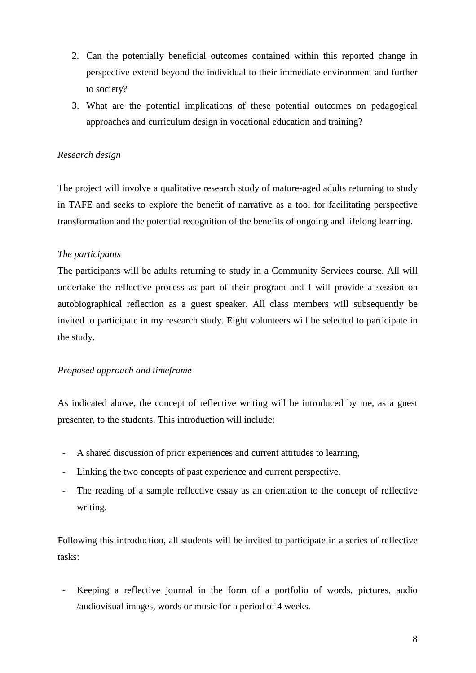- 2. Can the potentially beneficial outcomes contained within this reported change in perspective extend beyond the individual to their immediate environment and further to society?
- 3. What are the potential implications of these potential outcomes on pedagogical approaches and curriculum design in vocational education and training?

# *Research design*

The project will involve a qualitative research study of mature-aged adults returning to study in TAFE and seeks to explore the benefit of narrative as a tool for facilitating perspective transformation and the potential recognition of the benefits of ongoing and lifelong learning.

# *The participants*

The participants will be adults returning to study in a Community Services course. All will undertake the reflective process as part of their program and I will provide a session on autobiographical reflection as a guest speaker. All class members will subsequently be invited to participate in my research study. Eight volunteers will be selected to participate in the study.

## *Proposed approach and timeframe*

As indicated above, the concept of reflective writing will be introduced by me, as a guest presenter, to the students. This introduction will include:

- A shared discussion of prior experiences and current attitudes to learning,
- Linking the two concepts of past experience and current perspective.
- The reading of a sample reflective essay as an orientation to the concept of reflective writing.

Following this introduction, all students will be invited to participate in a series of reflective tasks:

Keeping a reflective journal in the form of a portfolio of words, pictures, audio /audiovisual images, words or music for a period of 4 weeks.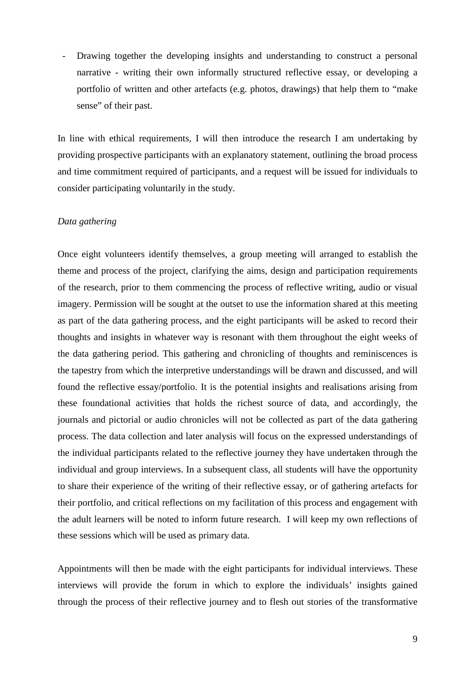Drawing together the developing insights and understanding to construct a personal narrative - writing their own informally structured reflective essay, or developing a portfolio of written and other artefacts (e.g. photos, drawings) that help them to "make sense" of their past.

In line with ethical requirements, I will then introduce the research I am undertaking by providing prospective participants with an explanatory statement, outlining the broad process and time commitment required of participants, and a request will be issued for individuals to consider participating voluntarily in the study.

#### *Data gathering*

Once eight volunteers identify themselves, a group meeting will arranged to establish the theme and process of the project, clarifying the aims, design and participation requirements of the research, prior to them commencing the process of reflective writing, audio or visual imagery. Permission will be sought at the outset to use the information shared at this meeting as part of the data gathering process, and the eight participants will be asked to record their thoughts and insights in whatever way is resonant with them throughout the eight weeks of the data gathering period. This gathering and chronicling of thoughts and reminiscences is the tapestry from which the interpretive understandings will be drawn and discussed, and will found the reflective essay/portfolio. It is the potential insights and realisations arising from these foundational activities that holds the richest source of data, and accordingly, the journals and pictorial or audio chronicles will not be collected as part of the data gathering process. The data collection and later analysis will focus on the expressed understandings of the individual participants related to the reflective journey they have undertaken through the individual and group interviews. In a subsequent class, all students will have the opportunity to share their experience of the writing of their reflective essay, or of gathering artefacts for their portfolio, and critical reflections on my facilitation of this process and engagement with the adult learners will be noted to inform future research. I will keep my own reflections of these sessions which will be used as primary data.

Appointments will then be made with the eight participants for individual interviews. These interviews will provide the forum in which to explore the individuals' insights gained through the process of their reflective journey and to flesh out stories of the transformative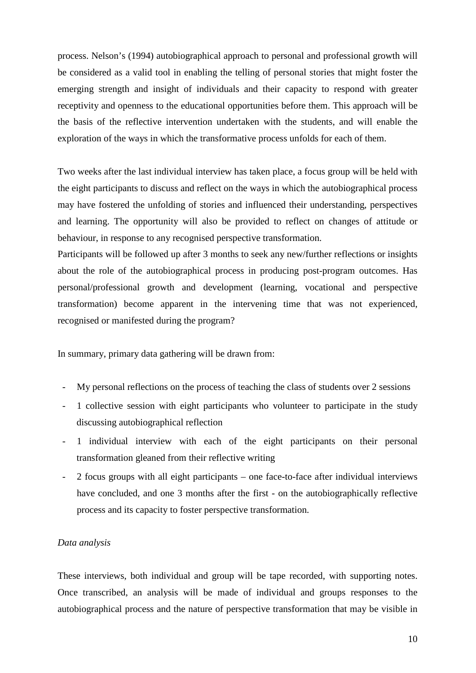process. Nelson's (1994) autobiographical approach to personal and professional growth will be considered as a valid tool in enabling the telling of personal stories that might foster the emerging strength and insight of individuals and their capacity to respond with greater receptivity and openness to the educational opportunities before them. This approach will be the basis of the reflective intervention undertaken with the students, and will enable the exploration of the ways in which the transformative process unfolds for each of them.

Two weeks after the last individual interview has taken place, a focus group will be held with the eight participants to discuss and reflect on the ways in which the autobiographical process may have fostered the unfolding of stories and influenced their understanding, perspectives and learning. The opportunity will also be provided to reflect on changes of attitude or behaviour, in response to any recognised perspective transformation.

Participants will be followed up after 3 months to seek any new/further reflections or insights about the role of the autobiographical process in producing post-program outcomes. Has personal/professional growth and development (learning, vocational and perspective transformation) become apparent in the intervening time that was not experienced, recognised or manifested during the program?

In summary, primary data gathering will be drawn from:

- My personal reflections on the process of teaching the class of students over 2 sessions
- 1 collective session with eight participants who volunteer to participate in the study discussing autobiographical reflection
- 1 individual interview with each of the eight participants on their personal transformation gleaned from their reflective writing
- 2 focus groups with all eight participants one face-to-face after individual interviews have concluded, and one 3 months after the first - on the autobiographically reflective process and its capacity to foster perspective transformation.

#### *Data analysis*

These interviews, both individual and group will be tape recorded, with supporting notes. Once transcribed, an analysis will be made of individual and groups responses to the autobiographical process and the nature of perspective transformation that may be visible in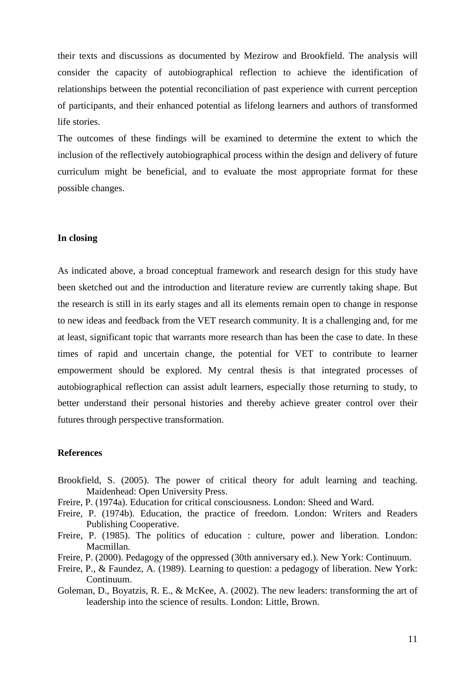their texts and discussions as documented by Mezirow and Brookfield. The analysis will consider the capacity of autobiographical reflection to achieve the identification of relationships between the potential reconciliation of past experience with current perception of participants, and their enhanced potential as lifelong learners and authors of transformed life stories.

The outcomes of these findings will be examined to determine the extent to which the inclusion of the reflectively autobiographical process within the design and delivery of future curriculum might be beneficial, and to evaluate the most appropriate format for these possible changes.

## **In closing**

As indicated above, a broad conceptual framework and research design for this study have been sketched out and the introduction and literature review are currently taking shape. But the research is still in its early stages and all its elements remain open to change in response to new ideas and feedback from the VET research community. It is a challenging and, for me at least, significant topic that warrants more research than has been the case to date. In these times of rapid and uncertain change, the potential for VET to contribute to learner empowerment should be explored. My central thesis is that integrated processes of autobiographical reflection can assist adult learners, especially those returning to study, to better understand their personal histories and thereby achieve greater control over their futures through perspective transformation.

### **References**

- Brookfield, S. (2005). The power of critical theory for adult learning and teaching. Maidenhead: Open University Press.
- Freire, P. (1974a). Education for critical consciousness. London: Sheed and Ward.
- Freire, P. (1974b). Education, the practice of freedom. London: Writers and Readers Publishing Cooperative.
- Freire, P. (1985). The politics of education : culture, power and liberation. London: Macmillan.
- Freire, P. (2000). Pedagogy of the oppressed (30th anniversary ed.). New York: Continuum.
- Freire, P., & Faundez, A. (1989). Learning to question: a pedagogy of liberation. New York: Continuum.
- Goleman, D., Boyatzis, R. E., & McKee, A. (2002). The new leaders: transforming the art of leadership into the science of results. London: Little, Brown.